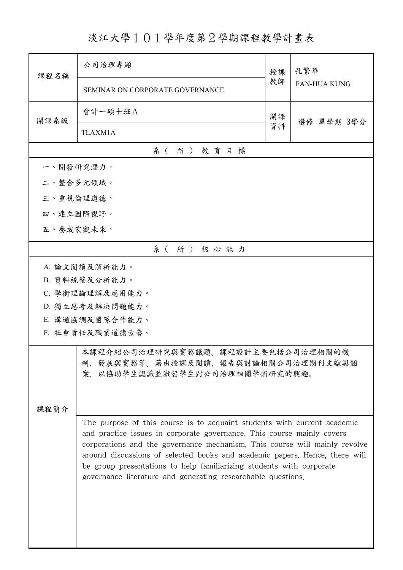## 淡江大學101學年度第2學期課程教學計畫表

| 課程名稱            | 公司治理專題                                                                                                                                                                                                              | 授課 | 孔繁華                 |  |  |
|-----------------|---------------------------------------------------------------------------------------------------------------------------------------------------------------------------------------------------------------------|----|---------------------|--|--|
|                 | SEMINAR ON CORPORATE GOVERNANCE                                                                                                                                                                                     | 教師 | <b>FAN-HUA KUNG</b> |  |  |
| 開課系級            | 會計一碩士班A                                                                                                                                                                                                             | 開課 | 選修 單學期 3學分          |  |  |
|                 | <b>TLAXM1A</b>                                                                                                                                                                                                      | 資料 |                     |  |  |
| 系(所)教育目標        |                                                                                                                                                                                                                     |    |                     |  |  |
|                 | 一、開發研究潛力。                                                                                                                                                                                                           |    |                     |  |  |
|                 | 二、整合多元領域。                                                                                                                                                                                                           |    |                     |  |  |
|                 | 三、重視倫理道德。                                                                                                                                                                                                           |    |                     |  |  |
|                 | 四、建立國際視野。                                                                                                                                                                                                           |    |                     |  |  |
|                 | 五、養成宏觀未來。                                                                                                                                                                                                           |    |                     |  |  |
|                 | 系(所)核心能力                                                                                                                                                                                                            |    |                     |  |  |
|                 | A. 論文閱讀及解析能力。                                                                                                                                                                                                       |    |                     |  |  |
|                 | B. 資料統整及分析能力。                                                                                                                                                                                                       |    |                     |  |  |
|                 | C. 學術理論理解及應用能力。                                                                                                                                                                                                     |    |                     |  |  |
|                 | D. 獨立思考及解決問題能力。                                                                                                                                                                                                     |    |                     |  |  |
|                 | E. 溝通協調及團隊合作能力。                                                                                                                                                                                                     |    |                     |  |  |
| F. 社會責任及職業道德素養。 |                                                                                                                                                                                                                     |    |                     |  |  |
|                 | 本課程介紹公司治理研究與實務議題。課程設計主要包括公司治理相關的機<br>制、發展與實務等。藉由授課及閱讀、報告與討論相關公司治理期刊文獻與個                                                                                                                                             |    |                     |  |  |
|                 | 案,以協助學生認識並激發學生對公司治理相關學術研究的興趣。                                                                                                                                                                                       |    |                     |  |  |
|                 |                                                                                                                                                                                                                     |    |                     |  |  |
| 课程简介            |                                                                                                                                                                                                                     |    |                     |  |  |
|                 | The purpose of this course is to acquaint students with current academic<br>and practice issues in corporate governance. This course mainly covers                                                                  |    |                     |  |  |
|                 | corporations and the governance mechanism. This course will mainly revolve                                                                                                                                          |    |                     |  |  |
|                 | around discussions of selected books and academic papers. Hence, there will<br>be group presentations to help familiarizing students with corporate<br>governance literature and generating researchable questions. |    |                     |  |  |
|                 |                                                                                                                                                                                                                     |    |                     |  |  |
|                 |                                                                                                                                                                                                                     |    |                     |  |  |
|                 |                                                                                                                                                                                                                     |    |                     |  |  |
|                 |                                                                                                                                                                                                                     |    |                     |  |  |
|                 |                                                                                                                                                                                                                     |    |                     |  |  |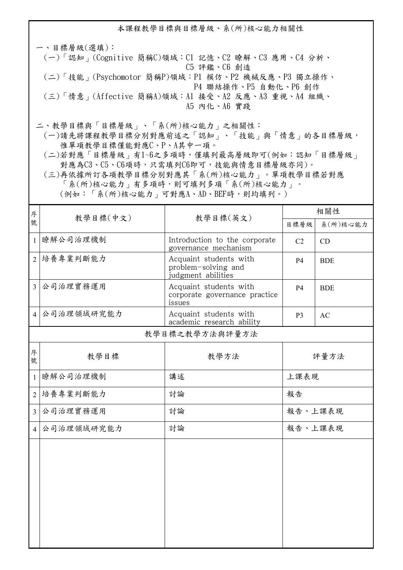本課程教學目標與目標層級、系(所)核心能力相關性 一、目標層級(選填): (一)「認知」(Cognitive 簡稱C)領域:C1 記憶、C2 瞭解、C3 應用、C4 分析、 C5 評鑑、C6 創造 (二)「技能」(Psychomotor 簡稱P)領域:P1 模仿、P2 機械反應、P3 獨立操作、 P4 聯結操作、P5 自動化、P6 創作 (三)「情意」(Affective 簡稱A)領域:A1 接受、A2 反應、A3 重視、A4 組織、 A5 內化、A6 實踐

二、教學目標與「目標層級」、「系(所)核心能力」之相關性:

 (一)請先將課程教學目標分別對應前述之「認知」、「技能」與「情意」的各目標層級, 惟單項教學目標僅能對應C、P、A其中一項。

 (二)若對應「目標層級」有1~6之多項時,僅填列最高層級即可(例如:認知「目標層級」 對應為C3、C5、C6項時,只需填列C6即可,技能與情意目標層級亦同)。

 (三)再依據所訂各項教學目標分別對應其「系(所)核心能力」。單項教學目標若對應 「系(所)核心能力」有多項時,則可填列多項「系(所)核心能力」。 (例如:「系(所)核心能力」可對應A、AD、BEF時,則均填列。)

| 序              |                      |                                                                     | 相關性                  |            |  |  |
|----------------|----------------------|---------------------------------------------------------------------|----------------------|------------|--|--|
| 號              | 教學目標(中文)<br>教學目標(英文) |                                                                     | 目標層級                 | 系(所)核心能力   |  |  |
| $\mathbf{1}$   | 瞭解公司治理機制             | Introduction to the corporate<br>governance mechanism               | C <sub>2</sub><br>CD |            |  |  |
|                | 2   培養專業判斷能力         | Acquaint students with<br>problem-solving and<br>judgment abilities | <b>P4</b>            | <b>BDE</b> |  |  |
| $\overline{3}$ | 公司治理實務運用             | Acquaint students with<br>corporate governance practice<br>issues   | <b>P4</b>            | <b>BDE</b> |  |  |
| $\overline{4}$ | 公司治理領域研究能力           | Acquaint students with<br>academic research ability                 | P <sub>3</sub>       | AC         |  |  |
|                | 教學目標之教學方法與評量方法       |                                                                     |                      |            |  |  |
| 序<br>號         | 教學目標                 | 教學方法                                                                | 評量方法                 |            |  |  |
| $\mathbf{1}$   | 瞭解公司治理機制             | 講述                                                                  | 上課表現                 |            |  |  |
| $\overline{2}$ | 培養專業判斷能力             | 討論                                                                  | 報告                   |            |  |  |
| $\overline{3}$ | 公司治理實務運用             | 討論                                                                  |                      | 報告、上課表現    |  |  |
| $\overline{4}$ | 公司治理領域研究能力           | 討論                                                                  |                      | 報告、上課表現    |  |  |
|                |                      |                                                                     |                      |            |  |  |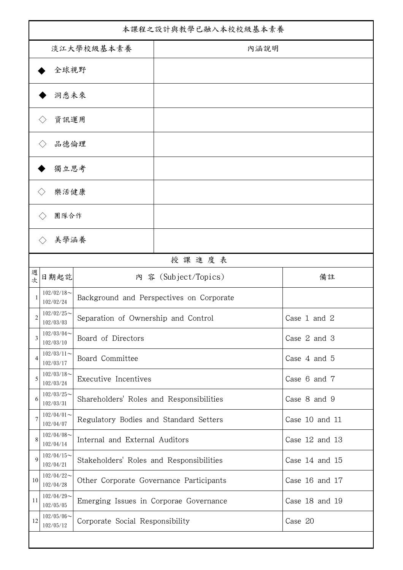| 本課程之設計與教學已融入本校校級基本素養                   |                                                                   |                                                                |                                          |                |  |
|----------------------------------------|-------------------------------------------------------------------|----------------------------------------------------------------|------------------------------------------|----------------|--|
| 淡江大學校級基本素養                             |                                                                   |                                                                | 內涵說明                                     |                |  |
|                                        | 全球視野                                                              |                                                                |                                          |                |  |
|                                        | 洞悉未來                                                              |                                                                |                                          |                |  |
|                                        | 資訊運用                                                              |                                                                |                                          |                |  |
|                                        | 品德倫理                                                              |                                                                |                                          |                |  |
|                                        | 獨立思考                                                              |                                                                |                                          |                |  |
|                                        | 樂活健康<br>$\langle \ \rangle$                                       |                                                                |                                          |                |  |
|                                        | 團隊合作                                                              |                                                                |                                          |                |  |
|                                        | 美學涵養<br>$\left\langle \right\rangle$                              |                                                                |                                          |                |  |
|                                        |                                                                   |                                                                | 授課進度表                                    |                |  |
| 週<br>內 容 (Subject/Topics)<br>日期起訖<br>次 |                                                                   | 備註                                                             |                                          |                |  |
| 1                                      | $102/02/18$ ~<br>102/02/24                                        |                                                                | Background and Perspectives on Corporate |                |  |
| 2                                      | $102/02/25$ ~<br>Separation of Ownership and Control<br>102/03/03 |                                                                |                                          | Case 1 and 2   |  |
| 3                                      | $102/03/04$ ~<br>102/03/10                                        | Board of Directors                                             |                                          | Case 2 and 3   |  |
| 4                                      | $102/03/11$ ~<br>102/03/17                                        | Board Committee                                                |                                          | Case 4 and 5   |  |
| 5                                      | $102/03/18$ ~<br>102/03/24                                        | Executive Incentives                                           |                                          | Case 6 and 7   |  |
| 6                                      | $102/03/25$ ~<br>102/03/31                                        | Shareholders' Roles and Responsibilities                       |                                          | Case 8 and 9   |  |
| 7                                      | $102/04/01$ ~<br>102/04/07                                        | Regulatory Bodies and Standard Setters                         |                                          | Case 10 and 11 |  |
| 8                                      | $102/04/08$ ~<br>102/04/14                                        | Internal and External Auditors                                 |                                          | Case 12 and 13 |  |
| 9                                      | $102/04/15$ ~<br>102/04/21                                        | Stakeholders' Roles and Responsibilities<br>Case $14$ and $15$ |                                          |                |  |
| 10                                     | $102/04/22$ ~<br>102/04/28                                        | Case 16 and 17<br>Other Corporate Governance Participants      |                                          |                |  |
| 11                                     | $102/04/29$ ~<br>102/05/05                                        | Emerging Issues in Corporae Governance                         |                                          | Case 18 and 19 |  |
| 12                                     | $102/05/06$ ~<br>102/05/12                                        | Case 20<br>Corporate Social Responsibility                     |                                          |                |  |
|                                        |                                                                   |                                                                |                                          |                |  |